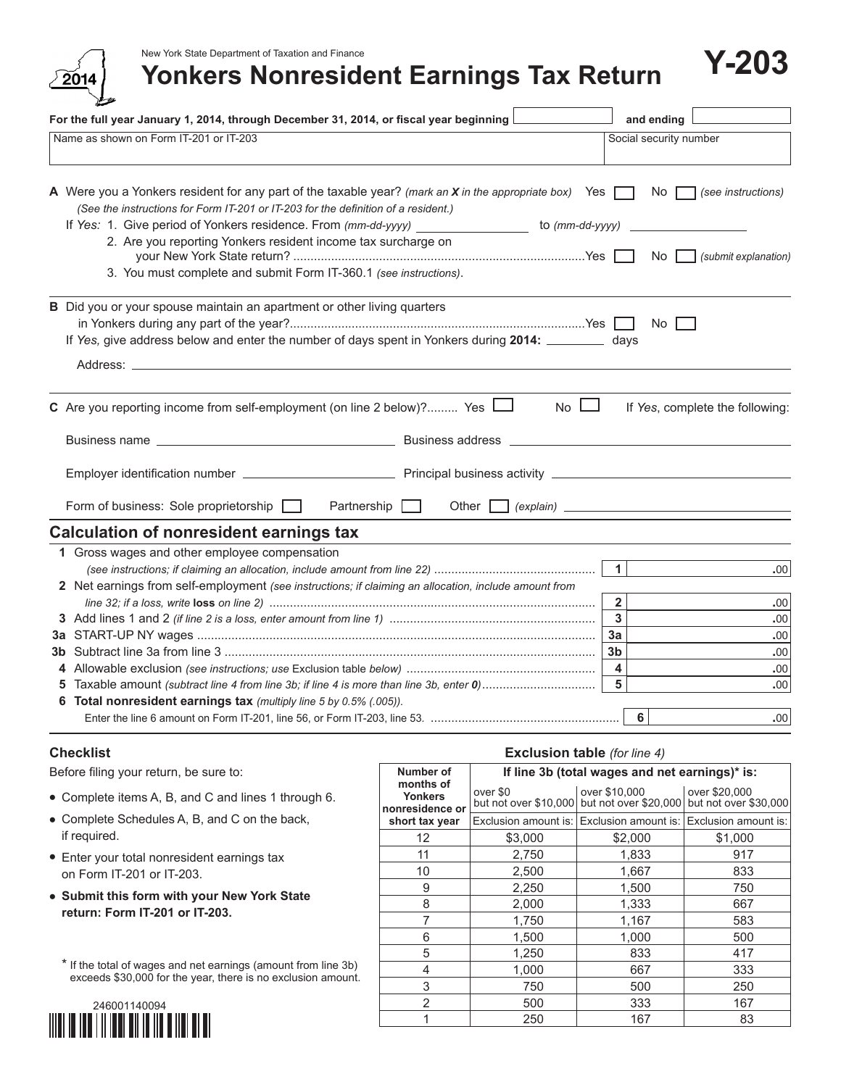New York State Department of Taxation and Finance



| For the full year January 1, 2014, through December 31, 2014, or fiscal year beginning $\lfloor$                                                                                                                                                                                                                                                                                                                                        | and ending                                                  |
|-----------------------------------------------------------------------------------------------------------------------------------------------------------------------------------------------------------------------------------------------------------------------------------------------------------------------------------------------------------------------------------------------------------------------------------------|-------------------------------------------------------------|
| Name as shown on Form IT-201 or IT-203                                                                                                                                                                                                                                                                                                                                                                                                  | Social security number                                      |
| A Were you a Yonkers resident for any part of the taxable year? (mark an X in the appropriate box) Yes [<br>(See the instructions for Form IT-201 or IT-203 for the definition of a resident.)<br>If Yes: 1. Give period of Yonkers residence. From (mm-dd-yyyy) ________________ to (mm-dd-yyyy)<br>2. Are you reporting Yonkers resident income tax surcharge on<br>3. You must complete and submit Form IT-360.1 (see instructions). | No<br>(see instructions)<br>No<br>(submit explanation)      |
| B Did you or your spouse maintain an apartment or other living quarters<br>If Yes, give address below and enter the number of days spent in Yonkers during 2014: __________ days<br>Address: the contract of the contract of the contract of the contract of the contract of the contract of the contract of the contract of the contract of the contract of the contract of the contract of the contract of the c                      | No I                                                        |
| $No$ $\Box$<br><b>C</b> Are you reporting income from self-employment (on line 2 below)? Yes $\Box$                                                                                                                                                                                                                                                                                                                                     | If Yes, complete the following:                             |
| Partnership [<br>Other I                                                                                                                                                                                                                                                                                                                                                                                                                | $(explain)$ $\qquad$                                        |
| Form of business: Sole proprietorship                                                                                                                                                                                                                                                                                                                                                                                                   |                                                             |
| Calculation of nonresident earnings tax<br>1 Gross wages and other employee compensation                                                                                                                                                                                                                                                                                                                                                | 1<br>.00.                                                   |
| 2 Net earnings from self-employment (see instructions; if claiming an allocation, include amount from                                                                                                                                                                                                                                                                                                                                   | $\overline{2}$<br>.00                                       |
|                                                                                                                                                                                                                                                                                                                                                                                                                                         | $\overline{3}$<br>.00<br>3a<br>.00<br>3 <sub>b</sub><br>.00 |
| Taxable amount (subtract line 4 from line 3b; if line 4 is more than line 3b, enter 0)                                                                                                                                                                                                                                                                                                                                                  | $\overline{\mathbf{4}}$<br>.00<br>5<br>.00                  |
| 6 Total nonresident earnings tax (multiply line 5 by 0.5% (.005)).                                                                                                                                                                                                                                                                                                                                                                      | 6<br>.00                                                    |

### **Checklist**

Before filing your return, be sure to:

- **•** Complete items A, B, and C and lines 1 through 6.
- **•** Complete Schedules A, B, and C on the back, if required.
- **•** Enter your total nonresident earnings tax on Form IT-201 or IT-203.
- **• Submit this form with your New York State return: Form IT-201 or IT-203.**

\* If the total of wages and net earnings (amount from line 3b) exceeds \$30,000 for the year, there is no exclusion amount.



#### **Exclusion table** *(for line 4)* **Number of months of Yonkers nonresidence or short tax year If line 3b (total wages and net earnings)\* is:** over \$0 over \$10,000 over \$20,000 but not over \$10,000 but not over \$20,000 but not over \$30,000 Exclusion amount is: Exclusion amount is: Exclusion amount is: 12 \$3,000 \$2,000 \$1,000 11 2,750 1,833 917 10 2,500 1,667 833 9 2,250 1,500 750 8 2,000 1,333 667 7 1,750 1,167 583 6 1,500 1,000 500 5 1,250 833 417 4 1,000 667 333 3 750 500 250 2 500 333 167

1 250 167 83